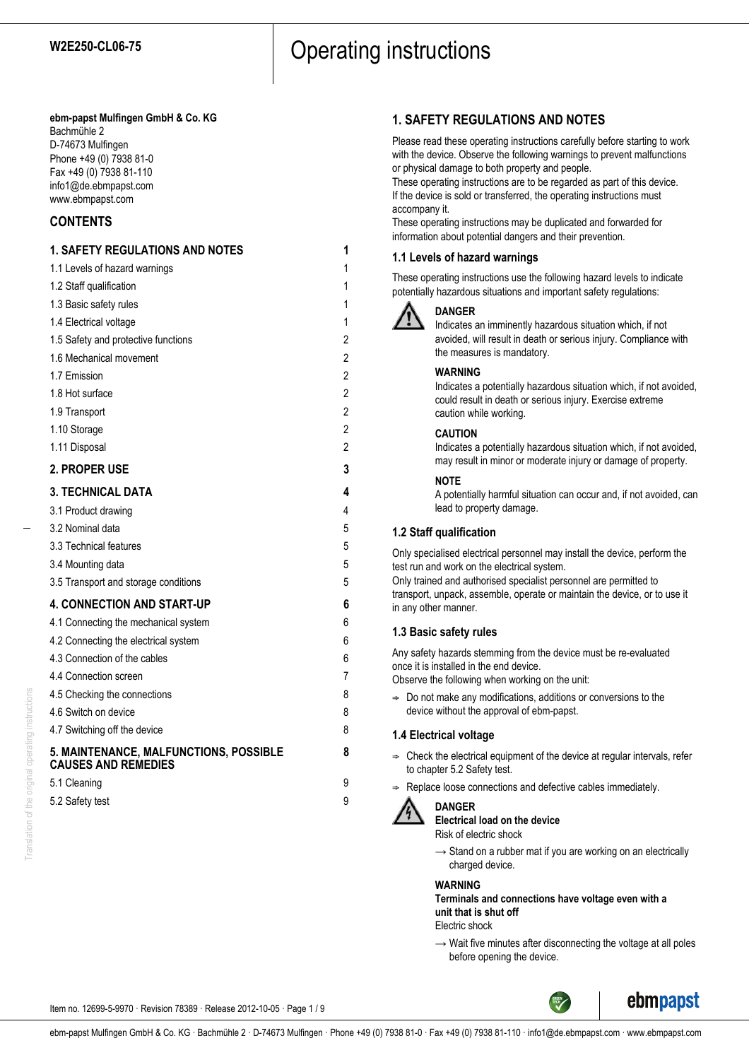#### **ebm-papst Mulfingen GmbH & Co. KG** Bachmühle 2

D-74673 Mulfingen Phone +49 (0) 7938 81-0 Fax +49 (0) 7938 81-110 info1@de.ebmpapst.com www.ebmpapst.com

## **CONTENTS**

## **1. SAFETY REGULATIONS AND NOTES 1** 1.1 Levels of hazard warnings 1 1.2 Staff qualification 1 1.3 Basic safety rules 1 1.4 Electrical voltage 1 1.5 Safety and protective functions 2 1.6 Mechanical movement 2 1.7 Emission 2 1.8 Hot surface 2 1.9 Transport 2 1.10 Storage 2 1.11 Disposal 2 **2. PROPER USE 3 3. TECHNICAL DATA 4** 3.1 Product drawing 4 3.2 Nominal data 5 3.3 Technical features 5 3.4 Mounting data 5 3.5 Transport and storage conditions 5 **4. CONNECTION AND START-UP 6** 4.1 Connecting the mechanical system 6 4.2 Connecting the electrical system 6 4.3 Connection of the cables 6 4.4 Connection screen 7 4.5 Checking the connections 8 4.6 Switch on device 8 4.7 Switching off the device 8 **5. MAINTENANCE, MALFUNCTIONS, POSSIBLE 8 CAUSES AND REMEDIES** 5.1 Cleaning 9 5.2 Safety test 9

## **1. SAFETY REGULATIONS AND NOTES**

Please read these operating instructions carefully before starting to work with the device. Observe the following warnings to prevent malfunctions or physical damage to both property and people.

These operating instructions are to be regarded as part of this device. If the device is sold or transferred, the operating instructions must accompany it.

These operating instructions may be duplicated and forwarded for information about potential dangers and their prevention.

## **1.1 Levels of hazard warnings**

These operating instructions use the following hazard levels to indicate potentially hazardous situations and important safety regulations:



## **DANGER**

Indicates an imminently hazardous situation which, if not avoided, will result in death or serious injury. Compliance with the measures is mandatory.

## **WARNING**

Indicates a potentially hazardous situation which, if not avoided, could result in death or serious injury. Exercise extreme caution while working.

## **CAUTION**

Indicates a potentially hazardous situation which, if not avoided, may result in minor or moderate injury or damage of property.

## **NOTE**

A potentially harmful situation can occur and, if not avoided, can lead to property damage.

## **1.2 Staff qualification**

Only specialised electrical personnel may install the device, perform the test run and work on the electrical system. Only trained and authorised specialist personnel are permitted to transport, unpack, assemble, operate or maintain the device, or to use it in any other manner.

## **1.3 Basic safety rules**

Any safety hazards stemming from the device must be re-evaluated once it is installed in the end device.

Observe the following when working on the unit:

 $\Rightarrow$  Do not make any modifications, additions or conversions to the device without the approval of ebm-papst.

## **1.4 Electrical voltage**

- $\Rightarrow$  Check the electrical equipment of the device at regular intervals, refer to chapter 5.2 Safety test.
- Replace loose connections and defective cables immediately.



## **DANGER**

**Electrical load on the device**

Risk of electric shock

 $\rightarrow$  Stand on a rubber mat if you are working on an electrically charged device.

#### **WARNING**

**Terminals and connections have voltage even with a unit that is shut off**

Electric shock

 $\rightarrow$  Wait five minutes after disconnecting the voltage at all poles before opening the device.

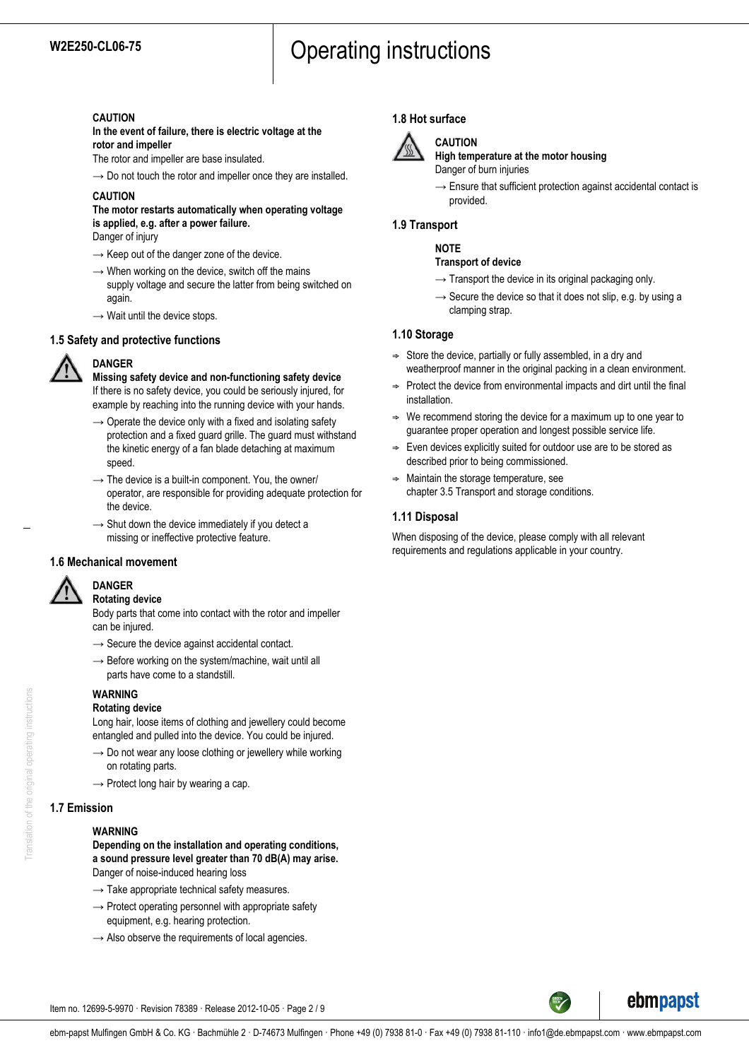#### **CAUTION**

**In the event of failure, there is electric voltage at the rotor and impeller**

The rotor and impeller are base insulated.

 $\rightarrow$  Do not touch the rotor and impeller once they are installed.

## **CAUTION**

## **The motor restarts automatically when operating voltage is applied, e.g. after a power failure.**

Danger of injury

- $\rightarrow$  Keep out of the danger zone of the device.
- $\rightarrow$  When working on the device, switch off the mains supply voltage and secure the latter from being switched on again.
- $\rightarrow$  Wait until the device stops.

## **1.5 Safety and protective functions**



**DANGER**

**Missing safety device and non-functioning safety device** If there is no safety device, you could be seriously injured, for example by reaching into the running device with your hands.

- $\rightarrow$  Operate the device only with a fixed and isolating safety protection and a fixed guard grille. The guard must withstand the kinetic energy of a fan blade detaching at maximum speed.
- $\rightarrow$  The device is a built-in component. You, the owner/ operator, are responsible for providing adequate protection for the device.
- $\rightarrow$  Shut down the device immediately if you detect a missing or ineffective protective feature.

## **1.6 Mechanical movement**



#### **DANGER Rotating device**

Body parts that come into contact with the rotor and impeller can be injured.

- $\rightarrow$  Secure the device against accidental contact.
- $\rightarrow$  Before working on the system/machine, wait until all parts have come to a standstill.

## **WARNING**

#### **Rotating device**

Long hair, loose items of clothing and jewellery could become entangled and pulled into the device. You could be injured.

- $\rightarrow$  Do not wear any loose clothing or jewellery while working on rotating parts.
- $\rightarrow$  Protect long hair by wearing a cap.

## **1.7 Emission**

#### **WARNING**

**Depending on the installation and operating conditions, a sound pressure level greater than 70 dB(A) may arise.** Danger of noise-induced hearing loss

- $\rightarrow$  Take appropriate technical safety measures.
- $\rightarrow$  Protect operating personnel with appropriate safety equipment, e.g. hearing protection.
- $\rightarrow$  Also observe the requirements of local agencies.

## **1.8 Hot surface**



## **CAUTION**

**High temperature at the motor housing** Danger of burn injuries

 $\rightarrow$  Ensure that sufficient protection against accidental contact is provided.

## **1.9 Transport**

## **NOTE**

#### **Transport of device**

- $\rightarrow$  Transport the device in its original packaging only.
- $\rightarrow$  Secure the device so that it does not slip, e.g. by using a clamping strap.

#### **1.10 Storage**

- $\Rightarrow$  Store the device, partially or fully assembled, in a dry and weatherproof manner in the original packing in a clean environment.
- $\Rightarrow$  Protect the device from environmental impacts and dirt until the final installation.
- We recommend storing the device for a maximum up to one year to guarantee proper operation and longest possible service life.
- $\Rightarrow$  Even devices explicitly suited for outdoor use are to be stored as described prior to being commissioned.
- $\Rightarrow$  Maintain the storage temperature, see chapter 3.5 Transport and storage conditions.

## **1.11 Disposal**

When disposing of the device, please comply with all relevant requirements and regulations applicable in your country.





Item no. 12699-5-9970 · Revision 78389 · Release 2012-10-05 · Page 2 / 9

Translation of the original operating instructions Translation of the original operating instructions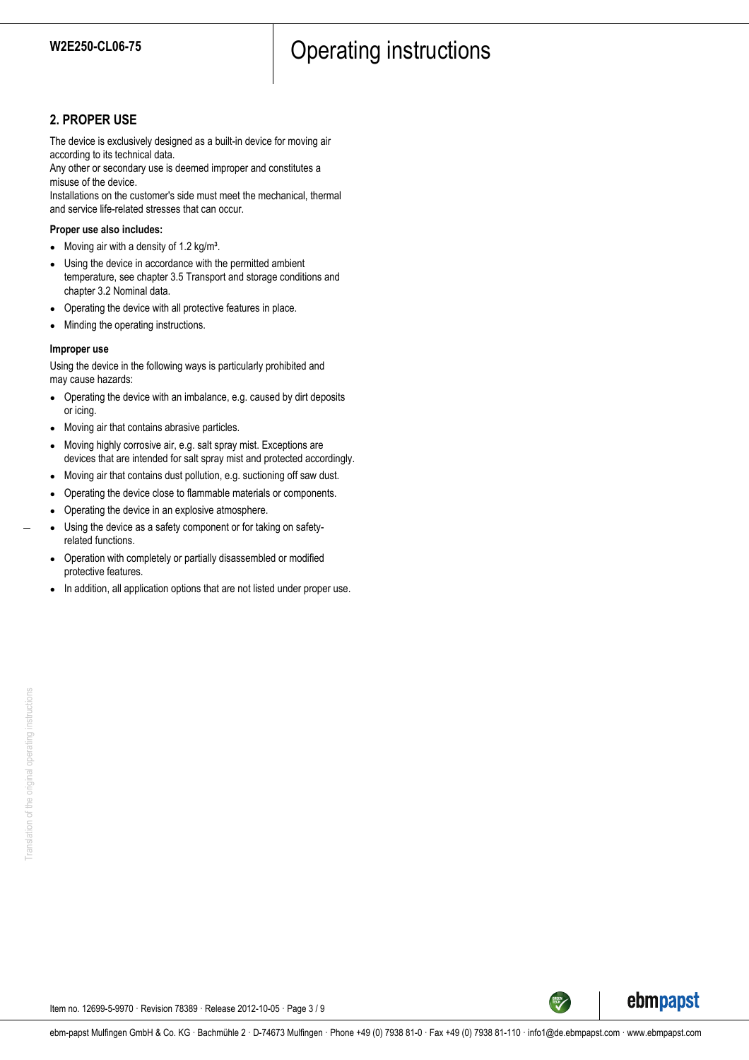## **2. PROPER USE**

The device is exclusively designed as a built-in device for moving air according to its technical data.

Any other or secondary use is deemed improper and constitutes a misuse of the device.

Installations on the customer's side must meet the mechanical, thermal and service life-related stresses that can occur.

#### **Proper use also includes:**

- Moving air with a density of 1.2 kg/m<sup>3</sup>.
- Using the device in accordance with the permitted ambient temperature, see chapter 3.5 Transport and storage conditions and chapter 3.2 Nominal data.
- Operating the device with all protective features in place.
- Minding the operating instructions.

#### **Improper use**

Using the device in the following ways is particularly prohibited and may cause hazards:

- Operating the device with an imbalance, e.g. caused by dirt deposits or icing.
- Moving air that contains abrasive particles.
- Moving highly corrosive air, e.g. salt spray mist. Exceptions are devices that are intended for salt spray mist and protected accordingly.
- Moving air that contains dust pollution, e.g. suctioning off saw dust.
- Operating the device close to flammable materials or components.
- Operating the device in an explosive atmosphere.
- Using the device as a safety component or for taking on safetyrelated functions.
- Operation with completely or partially disassembled or modified protective features.
- In addition, all application options that are not listed under proper use.



Item no. 12699-5-9970 · Revision 78389 · Release 2012-10-05 · Page 3 / 9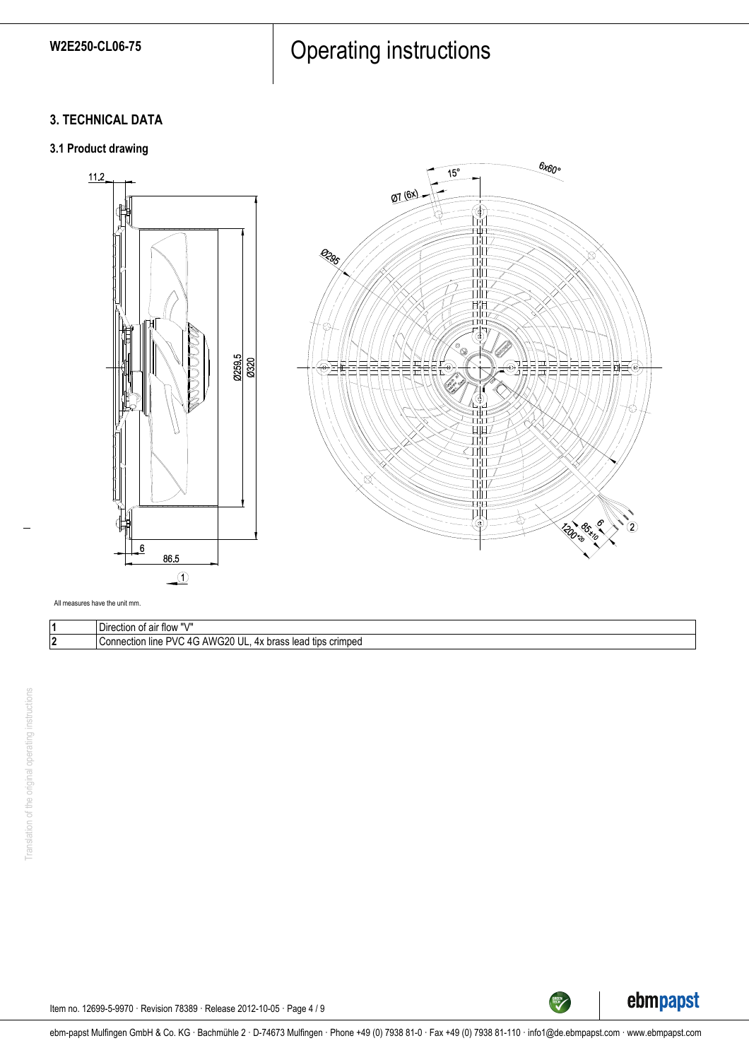# W2E250-CL06-75 **Operating instructions**

## **3. TECHNICAL DATA**

## **3.1 Product drawing**





All measures have the unit mm.

| -<br>. <i>.</i> .<br>Direction<br>া air flow                                                                     |
|------------------------------------------------------------------------------------------------------------------|
| <b>PVI</b><br>crimped<br>лı.<br>$\sim$<br>nnection<br>⊩lıne<br>hrooc<br>tips<br>COP<br>leau.<br>ulass<br>ີ<br>., |



TECH

Item no. 12699-5-9970 · Revision 78389 · Release 2012-10-05 · Page 4 / 9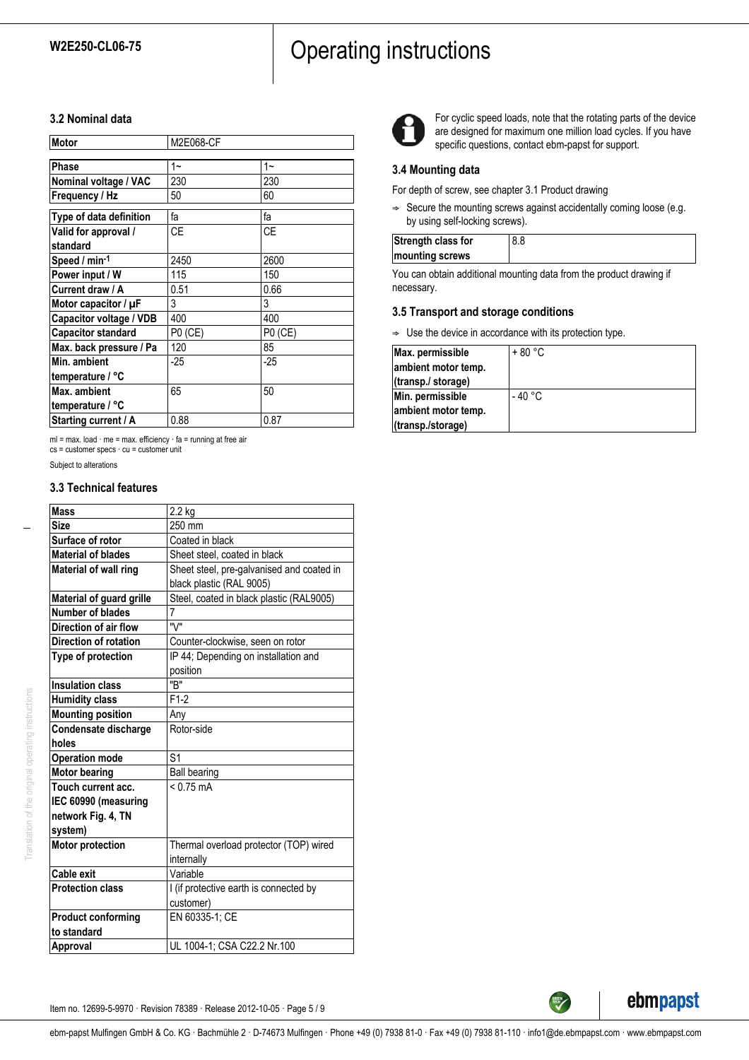## **3.2 Nominal data**

| Motor                     | M2E068-CF |         |
|---------------------------|-----------|---------|
| Phase                     | $1 -$     | $1 -$   |
| Nominal voltage / VAC     | 230       | 230     |
| Frequency / Hz            | 50        | 60      |
| Type of data definition   | fa        | fa      |
| Valid for approval /      | <b>CE</b> | СE      |
| standard                  |           |         |
| Speed / min-1             | 2450      | 2600    |
| Power input / W           | 115       | 150     |
| Current draw / A          | 0.51      | 0.66    |
| Motor capacitor / $\mu$ F | 3         | 3       |
| Capacitor voltage / VDB   | 400       | 400     |
| <b>Capacitor standard</b> | P0 (CE)   | P0 (CE) |
| Max. back pressure / Pa   | 120       | 85      |
| Min. ambient              | -25       | $-25$   |
| temperature / °C          |           |         |
| Max. ambient              | 65        | 50      |
| temperature / °C          |           |         |
| Starting current / A      | 0.88      | 0.87    |

ml = max. load · me = max. efficiency · fa = running at free air cs = customer specs · cu = customer unit

Subject to alterations

#### **3.3 Technical features**

| <b>Mass</b>                  | 2.2 kg                                    |
|------------------------------|-------------------------------------------|
| <b>Size</b>                  | 250 mm                                    |
| Surface of rotor             | Coated in black                           |
| <b>Material of blades</b>    | Sheet steel, coated in black              |
| <b>Material of wall ring</b> | Sheet steel, pre-galvanised and coated in |
|                              | black plastic (RAL 9005)                  |
| Material of guard grille     | Steel, coated in black plastic (RAL9005)  |
| Number of blades             | 7                                         |
| Direction of air flow        | "\/"                                      |
| Direction of rotation        | Counter-clockwise, seen on rotor          |
| Type of protection           | IP 44; Depending on installation and      |
|                              | position                                  |
| <b>Insulation class</b>      | "B"                                       |
| <b>Humidity class</b>        | $F1-2$                                    |
| <b>Mounting position</b>     | Any                                       |
| Condensate discharge         | Rotor-side                                |
| holes                        |                                           |
| <b>Operation mode</b>        | S <sub>1</sub>                            |
| <b>Motor bearing</b>         | <b>Ball bearing</b>                       |
| Touch current acc.           | $< 0.75 \text{ mA}$                       |
| IEC 60990 (measuring         |                                           |
| network Fig. 4, TN           |                                           |
| system)                      |                                           |
| <b>Motor protection</b>      | Thermal overload protector (TOP) wired    |
|                              | internally                                |
| Cable exit                   | Variable                                  |
| <b>Protection class</b>      | I (if protective earth is connected by    |
|                              | customer)                                 |
| <b>Product conforming</b>    | EN 60335-1; CE                            |
| to standard                  |                                           |
| Approval                     | UL 1004-1; CSA C22.2 Nr.100               |



For cyclic speed loads, note that the rotating parts of the device are designed for maximum one million load cycles. If you have specific questions, contact ebm-papst for support.

#### **3.4 Mounting data**

For depth of screw, see chapter 3.1 Product drawing

 $\Rightarrow$  Secure the mounting screws against accidentally coming loose (e.g. by using self-locking screws).

| Strength class for |  |
|--------------------|--|
| mounting screws    |  |
|                    |  |

You can obtain additional mounting data from the product drawing if necessary.

#### **3.5 Transport and storage conditions**

 $\Rightarrow$  Use the device in accordance with its protection type.

| Max. permissible    | $+80 °C$ |
|---------------------|----------|
| ambient motor temp. |          |
| (transp./ storage)  |          |
| Min. permissible    | - 40 °C  |
| ambient motor temp. |          |
| (transp./storage)   |          |

Translation of the original operating instructions

Translation of the original operating instructions



Item no. 12699-5-9970 · Revision 78389 · Release 2012-10-05 · Page 5 / 9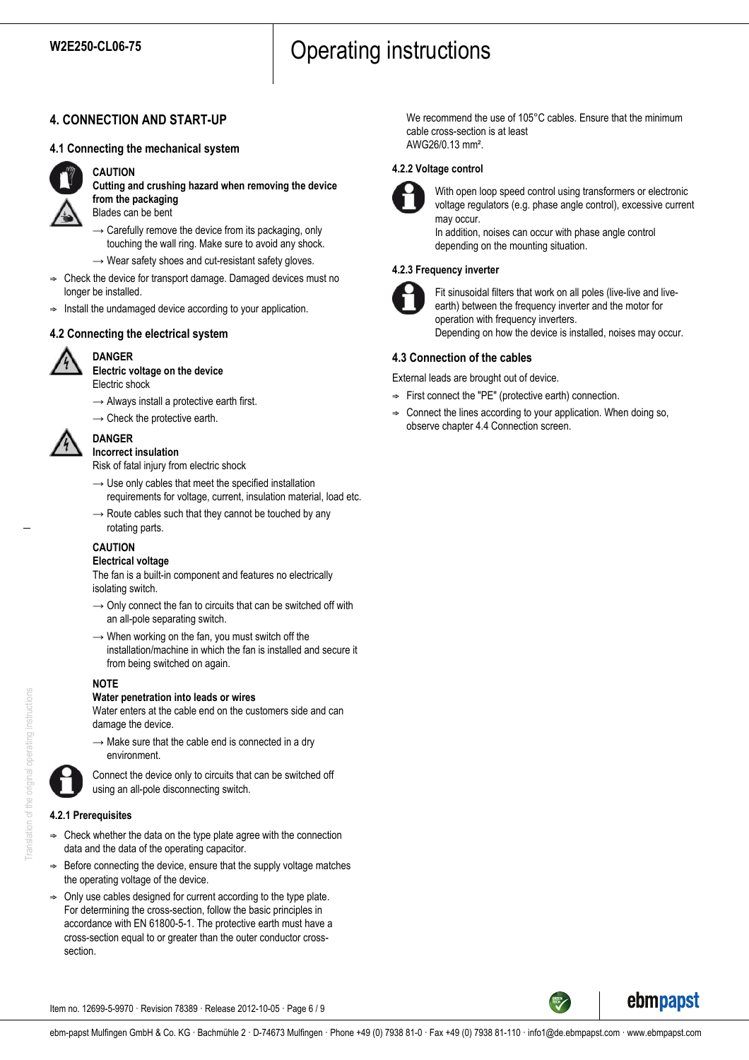## **4. CONNECTION AND START-UP**

## **4.1 Connecting the mechanical system**



## **CAUTION**

**Cutting and crushing hazard when removing the device from the packaging** Blades can be bent

- $\rightarrow$  Carefully remove the device from its packaging, only touching the wall ring. Make sure to avoid any shock.
- $\rightarrow$  Wear safety shoes and cut-resistant safety gloves.
- ; Check the device for transport damage. Damaged devices must no longer be installed.
- $\Rightarrow$  Install the undamaged device according to your application.

## **4.2 Connecting the electrical system**



## **DANGER**

**Electric voltage on the device** Electric shock

- $\rightarrow$  Always install a protective earth first.
- $\rightarrow$  Check the protective earth.



#### **DANGER Incorrect insulation**

Risk of fatal injury from electric shock

- $\rightarrow$  Use only cables that meet the specified installation requirements for voltage, current, insulation material, load etc.
- $\rightarrow$  Route cables such that they cannot be touched by any rotating parts.

## **CAUTION**

## **Electrical voltage**

The fan is a built-in component and features no electrically isolating switch.

- $\rightarrow$  Only connect the fan to circuits that can be switched off with an all-pole separating switch.
- $\rightarrow$  When working on the fan, you must switch off the installation/machine in which the fan is installed and secure it from being switched on again.

## **NOTE**

## **Water penetration into leads or wires**

Water enters at the cable end on the customers side and can damage the device.

 $\rightarrow$  Make sure that the cable end is connected in a dry environment.



Connect the device only to circuits that can be switched off using an all-pole disconnecting switch.

## **4.2.1 Prerequisites**

- $\Rightarrow$  Check whether the data on the type plate agree with the connection data and the data of the operating capacitor.
- Before connecting the device, ensure that the supply voltage matches the operating voltage of the device.
- ; Only use cables designed for current according to the type plate. For determining the cross-section, follow the basic principles in accordance with EN 61800-5-1. The protective earth must have a cross-section equal to or greater than the outer conductor crosssection.

We recommend the use of 105°C cables. Ensure that the minimum cable cross-section is at least AWG26/0.13 mm².

#### **4.2.2 Voltage control**



With open loop speed control using transformers or electronic voltage regulators (e.g. phase angle control), excessive current may occur.

In addition, noises can occur with phase angle control depending on the mounting situation.

## **4.2.3 Frequency inverter**



Fit sinusoidal filters that work on all poles (live-live and liveearth) between the frequency inverter and the motor for operation with frequency inverters. Depending on how the device is installed, noises may occur.

## **4.3 Connection of the cables**

External leads are brought out of device.

- $\Rightarrow$  First connect the "PE" (protective earth) connection.
- Connect the lines according to your application. When doing so, observe chapter 4.4 Connection screen.



ebmpapst

Item no. 12699-5-9970 · Revision 78389 · Release 2012-10-05 · Page 6 / 9

Translation of the original operating instructions Translation of the original operating instructions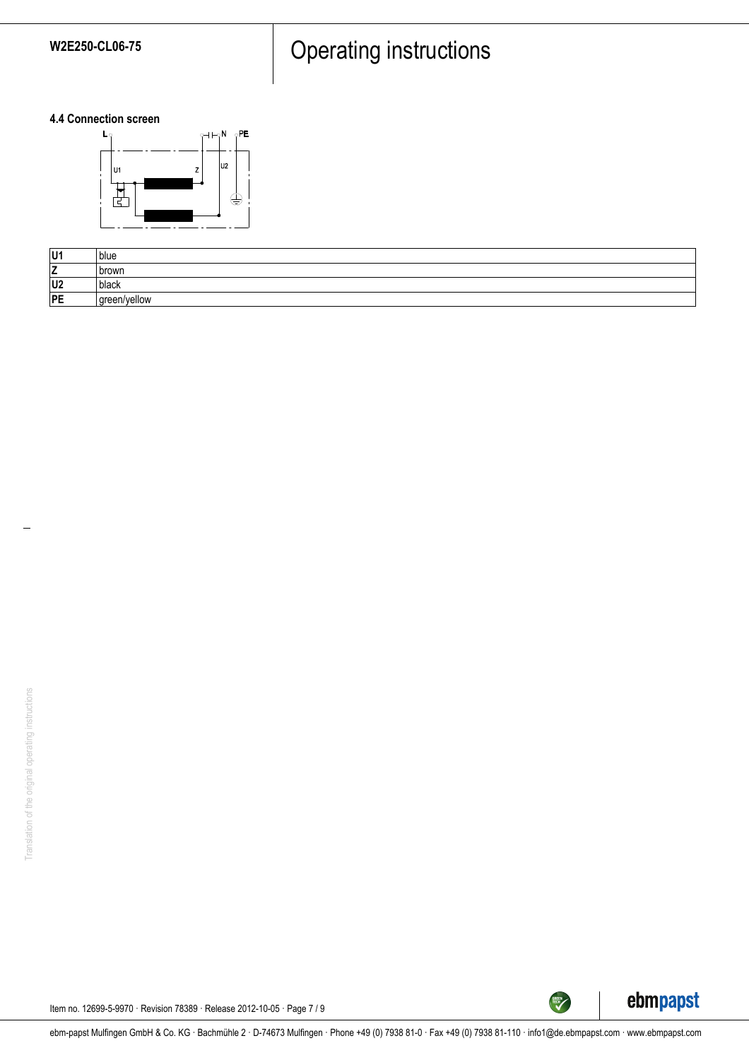# W2E250-CL06-75 **Operating instructions**

**4.4 Connection screen**



| U1             | blue         |
|----------------|--------------|
| -<br><u>_</u>  | l brown      |
| U <sub>2</sub> | black        |
| PE             | green/yellow |



TECH<sup>TECH</sup>

Item no. 12699-5-9970 · Revision 78389 · Release 2012-10-05 · Page 7 / 9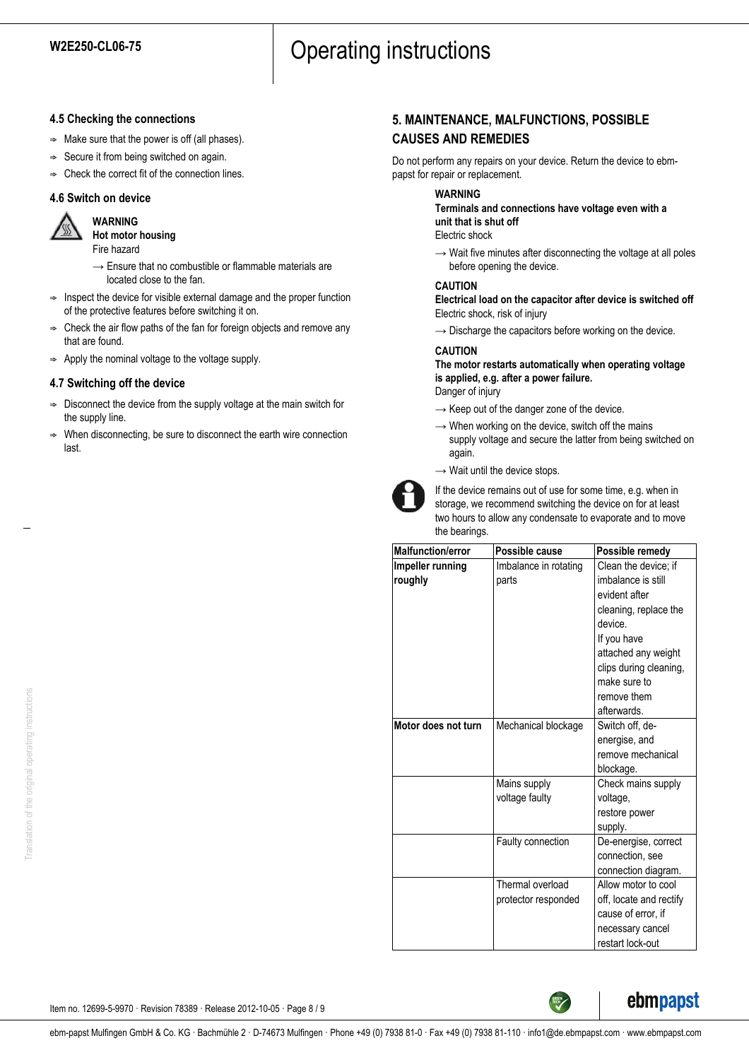## **4.5 Checking the connections**

- $\Rightarrow$  Make sure that the power is off (all phases).
- $\Rightarrow$  Secure it from being switched on again.
- $\Rightarrow$  Check the correct fit of the connection lines.

## **4.6 Switch on device**



**WARNING Hot motor housing** Fire hazard

- $\rightarrow$  Ensure that no combustible or flammable materials are located close to the fan.
- $\Rightarrow$  Inspect the device for visible external damage and the proper function of the protective features before switching it on.
- ; Check the air flow paths of the fan for foreign objects and remove any that are found.
- $\Rightarrow$  Apply the nominal voltage to the voltage supply.

## **4.7 Switching off the device**

- $\Rightarrow$  Disconnect the device from the supply voltage at the main switch for the supply line.
- When disconnecting, be sure to disconnect the earth wire connection last.

## **5. MAINTENANCE, MALFUNCTIONS, POSSIBLE CAUSES AND REMEDIES**

Do not perform any repairs on your device. Return the device to ebmpapst for repair or replacement.

### **WARNING**

**Terminals and connections have voltage even with a unit that is shut off**

Electric shock

 $\rightarrow$  Wait five minutes after disconnecting the voltage at all poles before opening the device.

#### **CAUTION**

**Electrical load on the capacitor after device is switched off** Electric shock, risk of injury

 $\rightarrow$  Discharge the capacitors before working on the device.

## **CAUTION**

**The motor restarts automatically when operating voltage is applied, e.g. after a power failure.** Danger of injury

- $\rightarrow$  Keep out of the danger zone of the device.
- $\rightarrow$  When working on the device, switch off the mains supply voltage and secure the latter from being switched on again.
- $\rightarrow$  Wait until the device stops.



If the device remains out of use for some time, e.g. when in storage, we recommend switching the device on for at least two hours to allow any condensate to evaporate and to move the bearings.

| <b>Malfunction/error</b> | Possible cause        | Possible remedy         |
|--------------------------|-----------------------|-------------------------|
| Impeller running         | Imbalance in rotating | Clean the device; if    |
| roughly                  | parts                 | imbalance is still      |
|                          |                       | evident after           |
|                          |                       | cleaning, replace the   |
|                          |                       | device.                 |
|                          |                       | If you have             |
|                          |                       | attached any weight     |
|                          |                       | clips during cleaning,  |
|                          |                       | make sure to            |
|                          |                       | remove them             |
|                          |                       | afterwards.             |
| Motor does not turn      | Mechanical blockage   | Switch off, de-         |
|                          |                       | energise, and           |
|                          |                       | remove mechanical       |
|                          |                       | blockage.               |
|                          | Mains supply          | Check mains supply      |
|                          | voltage faulty        | voltage,                |
|                          |                       | restore power           |
|                          |                       | supply.                 |
|                          | Faulty connection     | De-energise, correct    |
|                          |                       | connection, see         |
|                          |                       | connection diagram.     |
|                          | Thermal overload      | Allow motor to cool     |
|                          | protector responded   | off, locate and rectify |
|                          |                       | cause of error, if      |
|                          |                       | necessary cancel        |
|                          |                       | restart lock-out        |